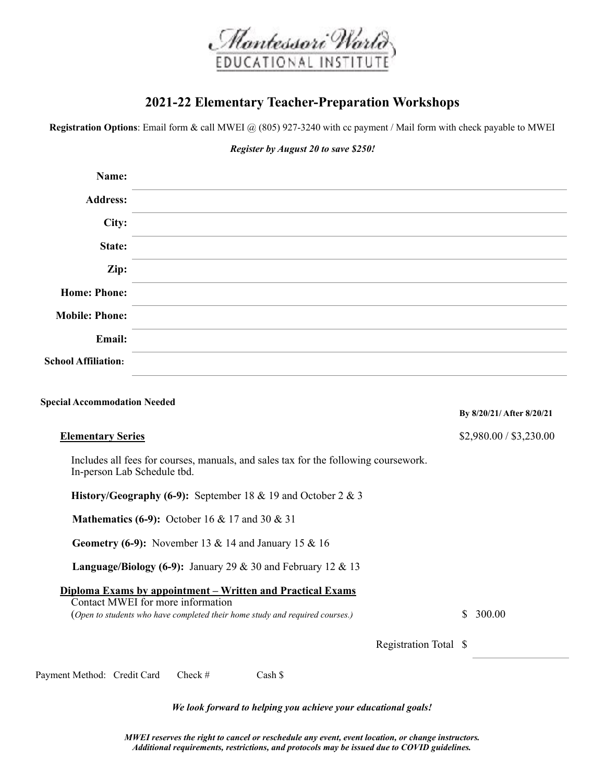

## **2021-22 Elementary Teacher-Preparation Workshops**

**Registration Options**: Email form & call MWEI @ (805) 927-3240 with cc payment / Mail form with check payable to MWEI

*Register by August 20 to save \$250!* 

| Name:                                                                                                                                                                           |                                                                     |                           |
|---------------------------------------------------------------------------------------------------------------------------------------------------------------------------------|---------------------------------------------------------------------|---------------------------|
| <b>Address:</b>                                                                                                                                                                 |                                                                     |                           |
| City:                                                                                                                                                                           |                                                                     |                           |
| State:                                                                                                                                                                          |                                                                     |                           |
| Zip:                                                                                                                                                                            |                                                                     |                           |
| <b>Home: Phone:</b>                                                                                                                                                             |                                                                     |                           |
| <b>Mobile: Phone:</b>                                                                                                                                                           |                                                                     |                           |
| <b>Email:</b>                                                                                                                                                                   |                                                                     |                           |
| <b>School Affiliation:</b>                                                                                                                                                      |                                                                     |                           |
| <b>Special Accommodation Needed</b>                                                                                                                                             |                                                                     | By 8/20/21/ After 8/20/21 |
| <b>Elementary Series</b>                                                                                                                                                        |                                                                     | \$2,980.00 / \$3,230.00   |
| Includes all fees for courses, manuals, and sales tax for the following coursework.<br>In-person Lab Schedule tbd.                                                              |                                                                     |                           |
| History/Geography (6-9): September 18 & 19 and October 2 & 3                                                                                                                    |                                                                     |                           |
| <b>Mathematics (6-9):</b> October 16 & 17 and 30 & 31                                                                                                                           |                                                                     |                           |
| Geometry (6-9): November 13 & 14 and January 15 & 16                                                                                                                            |                                                                     |                           |
|                                                                                                                                                                                 | <b>Language/Biology (6-9):</b> January 29 & 30 and February 12 & 13 |                           |
| Diploma Exams by appointment – Written and Practical Exams<br>Contact MWEI for more information<br>(Open to students who have completed their home study and required courses.) |                                                                     | 300.00<br>S.              |
|                                                                                                                                                                                 | Registration Total \$                                               |                           |

Payment Method: Credit Card Check # Cash \$

*We look forward to helping you achieve your educational goals!* 

*MWEI reserves the right to cancel or reschedule any event, event location, or change instructors. Additional requirements, restrictions, and protocols may be issued due to COVID guidelines.*